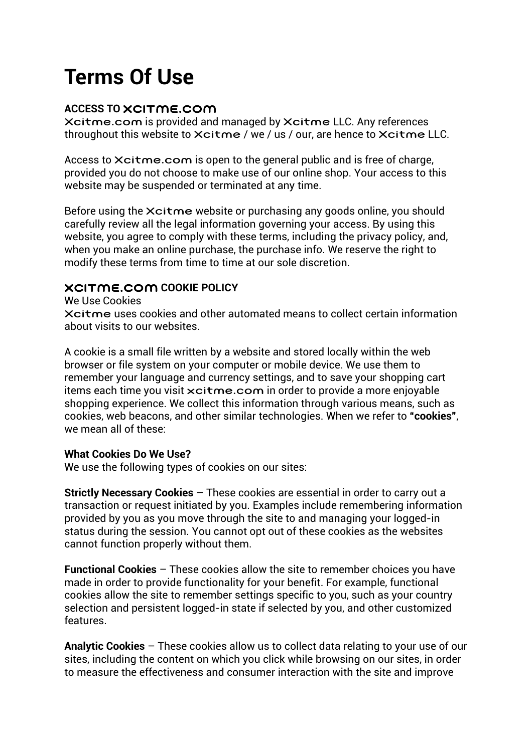# Terms Of Use

# ACCESS TO XCITME.COM

Xcitme.com is provided and managed by Xcitme LLC. Any references throughout this website to Xcitme / we / us / our, are hence to Xcitme LLC.

Access to Xcitme.com is open to the general public and is free of charge, provided you do not choose to make use of our online shop. Your access to this website may be suspended or terminated at any time.

Before using the Xcitme website or purchasing any goods online, you should carefully review all the legal information governing your access. By using this website, you agree to comply with these terms, including the privacy policy, and, when you make an online purchase, the purchase info. We reserve the right to modify these terms from time to time at our sole discretion.

# XCITME.COM COOKIE POLICY

We Use Cookies

Xcitme uses cookies and other automated means to collect certain information about visits to our websites.

A cookie is a small file written by a website and stored locally within the web browser or file system on your computer or mobile device. We use them to remember your language and currency settings, and to save your shopping cart items each time you visit xcitme.com in order to provide a more enjoyable shopping experience. We collect this information through various means, such as cookies, web beacons, and other similar technologies. When we refer to "cookies", we mean all of these:

# What Cookies Do We Use?

We use the following types of cookies on our sites:

Strictly Necessary Cookies – These cookies are essential in order to carry out a transaction or request initiated by you. Examples include remembering information provided by you as you move through the site to and managing your logged-in status during the session. You cannot opt out of these cookies as the websites cannot function properly without them.

Functional Cookies – These cookies allow the site to remember choices you have made in order to provide functionality for your benefit. For example, functional cookies allow the site to remember settings specific to you, such as your country selection and persistent logged-in state if selected by you, and other customized features.

Analytic Cookies – These cookies allow us to collect data relating to your use of our sites, including the content on which you click while browsing on our sites, in order to measure the effectiveness and consumer interaction with the site and improve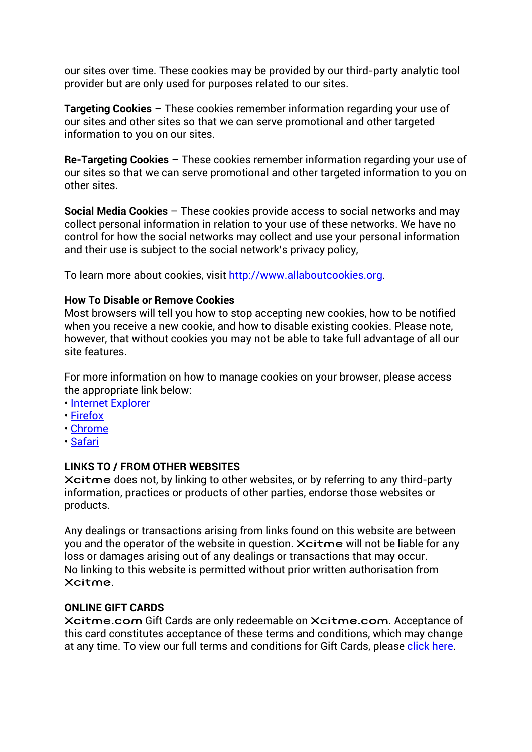our sites over time. These cookies may be provided by our third-party analytic tool provider but are only used for purposes related to our sites.

Targeting Cookies – These cookies remember information regarding your use of our sites and other sites so that we can serve promotional and other targeted information to you on our sites.

Re-Targeting Cookies – These cookies remember information regarding your use of our sites so that we can serve promotional and other targeted information to you on other sites.

Social Media Cookies – These cookies provide access to social networks and may collect personal information in relation to your use of these networks. We have no control for how the social networks may collect and use your personal information and their use is subject to the social network's privacy policy,

To learn more about cookies, visit http://www.allaboutcookies.org.

# How To Disable or Remove Cookies

Most browsers will tell you how to stop accepting new cookies, how to be notified when you receive a new cookie, and how to disable existing cookies. Please note, however, that without cookies you may not be able to take full advantage of all our site features.

For more information on how to manage cookies on your browser, please access the appropriate link below:

- Internet Explorer
- Firefox
- Chrome
- Safari

# LINKS TO / FROM OTHER WEBSITES

Xcitme does not, by linking to other websites, or by referring to any third-party information, practices or products of other parties, endorse those websites or products.

Any dealings or transactions arising from links found on this website are between you and the operator of the website in question. Xcitme will not be liable for any loss or damages arising out of any dealings or transactions that may occur. No linking to this website is permitted without prior written authorisation from Xcitme.

#### ONLINE GIFT CARDS

Xcitme.com Gift Cards are only redeemable on Xcitme.com. Acceptance of this card constitutes acceptance of these terms and conditions, which may change at any time. To view our full terms and conditions for Gift Cards, please click here.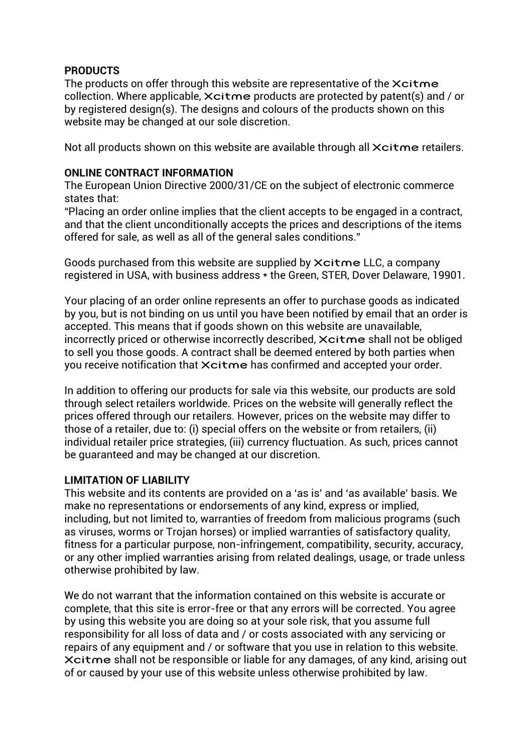# **PRODUCTS**

The products on offer through this website are representative of the Xcitme collection. Where applicable, Xcitme products are protected by patent(s) and / or by registered design(s). The designs and colours of the products shown on this website may be changed at our sole discretion.

Not all products shown on this website are available through all  $X$ citme retailers.

#### ONLINE CONTRACT INFORMATION

The European Union Directive 2000/31/CE on the subject of electronic commerce states that:

"Placing an order online implies that the client accepts to be engaged in a contract, and that the client unconditionally accepts the prices and descriptions of the items offered for sale, as well as all of the general sales conditions."

Goods purchased from this website are supplied by Xcitme LLC, a company registered in USA, with business address \* the Green, STER, Dover Delaware, 19901.

Your placing of an order online represents an offer to purchase goods as indicated by you, but is not binding on us until you have been notified by email that an order is accepted. This means that if goods shown on this website are unavailable, incorrectly priced or otherwise incorrectly described, Xcitme shall not be obliged to sell you those goods. A contract shall be deemed entered by both parties when you receive notification that Xcitme has confirmed and accepted your order.

In addition to offering our products for sale via this website, our products are sold through select retailers worldwide. Prices on the website will generally reflect the prices offered through our retailers. However, prices on the website may differ to those of a retailer, due to: (i) special offers on the website or from retailers, (ii) individual retailer price strategies, (iii) currency fluctuation. As such, prices cannot be guaranteed and may be changed at our discretion.

# LIMITATION OF LIABILITY

This website and its contents are provided on a 'as is' and 'as available' basis. We make no representations or endorsements of any kind, express or implied, including, but not limited to, warranties of freedom from malicious programs (such as viruses, worms or Trojan horses) or implied warranties of satisfactory quality, fitness for a particular purpose, non-infringement, compatibility, security, accuracy, or any other implied warranties arising from related dealings, usage, or trade unless otherwise prohibited by law.

We do not warrant that the information contained on this website is accurate or complete, that this site is error-free or that any errors will be corrected. You agree by using this website you are doing so at your sole risk, that you assume full responsibility for all loss of data and / or costs associated with any servicing or repairs of any equipment and / or software that you use in relation to this website. Xcitme shall not be responsible or liable for any damages, of any kind, arising out of or caused by your use of this website unless otherwise prohibited by law.